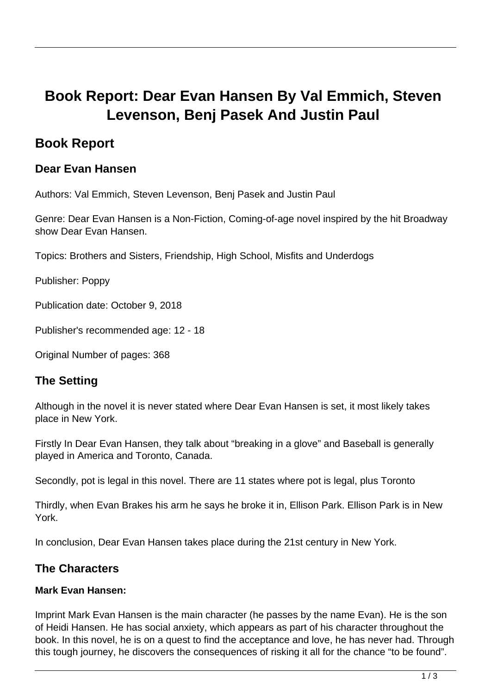# **Book Report: Dear Evan Hansen By Val Emmich, Steven Levenson, Benj Pasek And Justin Paul**

# **Book Report**

## **Dear Evan Hansen**

Authors: Val Emmich, Steven Levenson, Benj Pasek and Justin Paul

Genre: Dear Evan Hansen is a Non-Fiction, Coming-of-age novel inspired by the hit Broadway show Dear Evan Hansen.

Topics: Brothers and Sisters, Friendship, High School, Misfits and Underdogs

Publisher: Poppy

Publication date: October 9, 2018

Publisher's recommended age: 12 - 18

Original Number of pages: 368

# **The Setting**

Although in the novel it is never stated where Dear Evan Hansen is set, it most likely takes place in New York.

Firstly In Dear Evan Hansen, they talk about "breaking in a glove" and Baseball is generally played in America and Toronto, Canada.

Secondly, pot is legal in this novel. There are 11 states where pot is legal, plus Toronto

Thirdly, when Evan Brakes his arm he says he broke it in, Ellison Park. Ellison Park is in New York.

In conclusion, Dear Evan Hansen takes place during the 21st century in New York.

### **The Characters**

#### **Mark Evan Hansen:**

Imprint Mark Evan Hansen is the main character (he passes by the name Evan). He is the son of Heidi Hansen. He has social anxiety, which appears as part of his character throughout the book. In this novel, he is on a quest to find the acceptance and love, he has never had. Through this tough journey, he discovers the consequences of risking it all for the chance "to be found".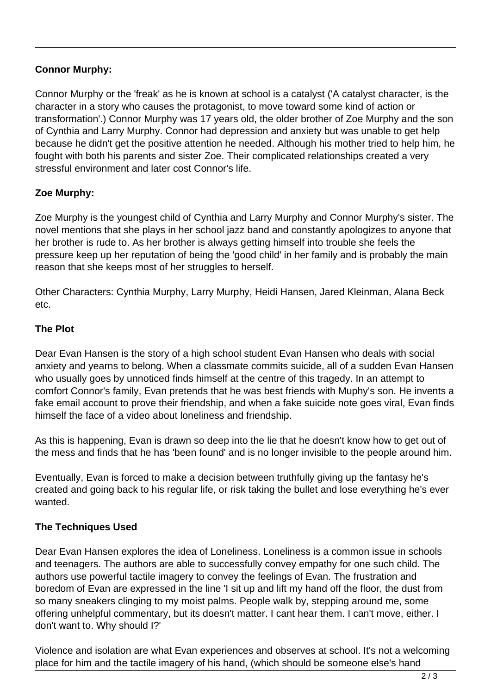#### **Connor Murphy:**

Connor Murphy or the 'freak' as he is known at school is a catalyst ('A catalyst character, is the character in a story who causes the protagonist, to move toward some kind of action or transformation'.) Connor Murphy was 17 years old, the older brother of Zoe Murphy and the son of Cynthia and Larry Murphy. Connor had depression and anxiety but was unable to get help because he didn't get the positive attention he needed. Although his mother tried to help him, he fought with both his parents and sister Zoe. Their complicated relationships created a very stressful environment and later cost Connor's life.

#### **Zoe Murphy:**

Zoe Murphy is the youngest child of Cynthia and Larry Murphy and Connor Murphy's sister. The novel mentions that she plays in her school jazz band and constantly apologizes to anyone that her brother is rude to. As her brother is always getting himself into trouble she feels the pressure keep up her reputation of being the 'good child' in her family and is probably the main reason that she keeps most of her struggles to herself.

Other Characters: Cynthia Murphy, Larry Murphy, Heidi Hansen, Jared Kleinman, Alana Beck etc.

#### **The Plot**

Dear Evan Hansen is the story of a high school student Evan Hansen who deals with social anxiety and yearns to belong. When a classmate commits suicide, all of a sudden Evan Hansen who usually goes by unnoticed finds himself at the centre of this tragedy. In an attempt to comfort Connor's family, Evan pretends that he was best friends with Muphy's son. He invents a fake email account to prove their friendship, and when a fake suicide note goes viral, Evan finds himself the face of a video about loneliness and friendship.

As this is happening, Evan is drawn so deep into the lie that he doesn't know how to get out of the mess and finds that he has 'been found' and is no longer invisible to the people around him.

Eventually, Evan is forced to make a decision between truthfully giving up the fantasy he's created and going back to his regular life, or risk taking the bullet and lose everything he's ever wanted.

#### **The Techniques Used**

Dear Evan Hansen explores the idea of Loneliness. Loneliness is a common issue in schools and teenagers. The authors are able to successfully convey empathy for one such child. The authors use powerful tactile imagery to convey the feelings of Evan. The frustration and boredom of Evan are expressed in the line 'I sit up and lift my hand off the floor, the dust from so many sneakers clinging to my moist palms. People walk by, stepping around me, some offering unhelpful commentary, but its doesn't matter. I cant hear them. I can't move, either. I don't want to. Why should I?'

Violence and isolation are what Evan experiences and observes at school. It's not a welcoming place for him and the tactile imagery of his hand, (which should be someone else's hand